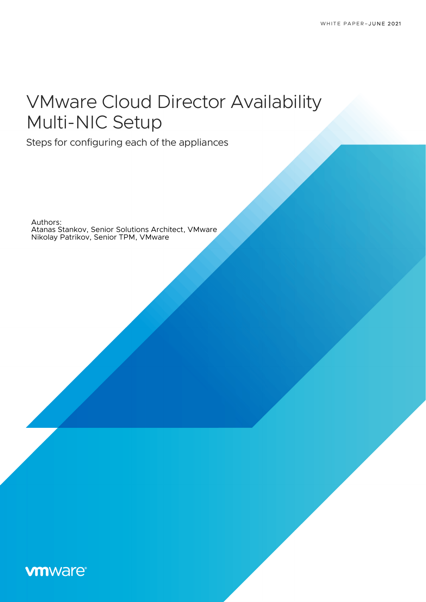# VMware Cloud Director Availability Multi-NIC Setup

Steps for configuring each of the appliances

Authors: Atanas Stankov, Senior Solutions Architect, VMware Nikolay Patrikov, Senior TPM, VMware

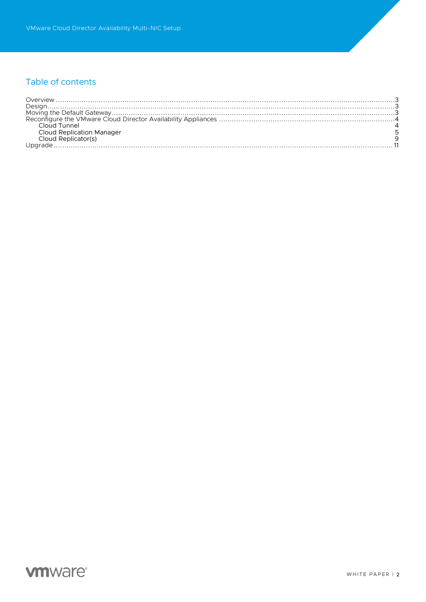# Table of contents

| <b>Cloud Replication Manager</b> |  |
|----------------------------------|--|
| Cloud Replicator(s)              |  |
|                                  |  |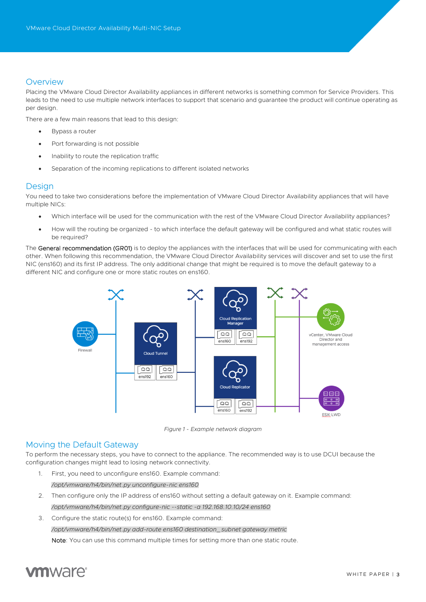# Overview

Placing the VMware Cloud Director Availability appliances in different networks is something common for Service Providers. This leads to the need to use multiple network interfaces to support that scenario and guarantee the product will continue operating as per design.

There are a few main reasons that lead to this design:

- Bypass a router
- Port forwarding is not possible
- Inability to route the replication traffic
- Separation of the incoming replications to different isolated networks

# **Design**

You need to take two considerations before the implementation of VMware Cloud Director Availability appliances that will have multiple NICs:

- Which interface will be used for the communication with the rest of the VMware Cloud Director Availability appliances?
- How will the routing be organized to which interface the default gateway will be configured and what static routes will be required?

The General recommendation (GR01) is to deploy the appliances with the interfaces that will be used for communicating with each other. When following this recommendation, the VMware Cloud Director Availability services will discover and set to use the first NIC (ens160) and its first IP address. The only additional change that might be required is to move the default gateway to a different NIC and configure one or more static routes on ens160.



*Figure 1 - Example network diagram*

#### Moving the Default Gateway

To perform the necessary steps, you have to connect to the appliance. The recommended way is to use DCUI because the configuration changes might lead to losing network connectivity.

- 1. First, you need to unconfigure ens160. Example command: */opt/vmware/h4/bin/net.py unconfigure-nic ens160*
- 2. Then configure only the IP address of ens160 without setting a default gateway on it. Example command: */opt/vmware/h4/bin/net.py configure-nic --static -a 192.168.10.10/24 ens160*
- 3. Configure the static route(s) for ens160. Example command:

*/opt/vmware/h4/bin/net.py add-route ens160 destination\_subnet gateway metric*

Note: You can use this command multiple times for setting more than one static route.

# **vm**ware<sup>®</sup>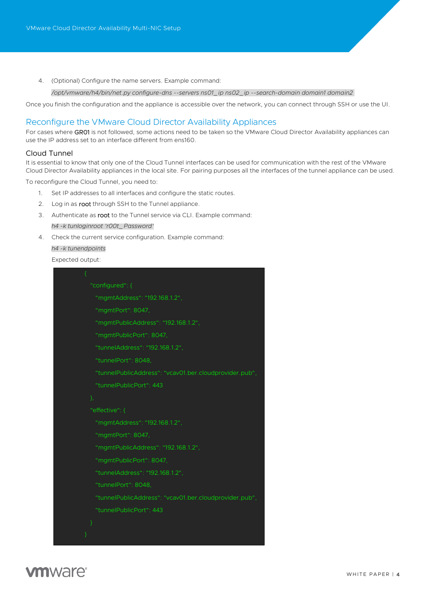4. (Optional) Configure the name servers. Example command:

*/opt/vmware/h4/bin/net.py configure-dns --servers ns01\_ip ns02\_ip --search-domain domain1 domain2*

Once you finish the configuration and the appliance is accessible over the network, you can connect through SSH or use the UI.

# Reconfigure the VMware Cloud Director Availability Appliances

For cases where GR01 is not followed, some actions need to be taken so the VMware Cloud Director Availability appliances can use the IP address set to an interface different from ens160.

### Cloud Tunnel

It is essential to know that only one of the Cloud Tunnel interfaces can be used for communication with the rest of the VMware Cloud Director Availability appliances in the local site. For pairing purposes all the interfaces of the tunnel appliance can be used.

To reconfigure the Cloud Tunnel, you need to:

- 1. Set IP addresses to all interfaces and configure the static routes.
- 2. Log in as root through SSH to the Tunnel appliance.
- 3. Authenticate as root to the Tunnel service via CLI. Example command: *h4 -k tunloginroot 'r00t\_Password'*
- 4. Check the current service configuration. Example command: *h4 -k tunendpoints*

Expected output:

| "configured": {                                        |
|--------------------------------------------------------|
| "mgmtAddress": "192.168.1.2",                          |
| "mgmtPort": 8047.                                      |
| "mgmtPublicAddress": "192.168.1.2",                    |
| "mgmtPublicPort": 8047.                                |
| "tunnelAddress": "192.168.1.2",                        |
| "tunnelPort": 8048,                                    |
| "tunnelPublicAddress": "vcav01.ber.cloudprovider.pub", |
| "tunnelPublicPort": 443                                |
| },                                                     |
| "effective": {                                         |
| "mgmtAddress": "192.168.1.2",                          |
| "mgmtPort": 8047,                                      |
| "mgmtPublicAddress": "192.168.1.2",                    |
| "mgmtPublicPort": 8047,                                |
| "tunnelAddress": "192.168.1.2",                        |
| "tunnelPort": 8048.                                    |
| "tunnelPublicAddress": "vcav01.ber.cloudprovider.pub", |
| "tunnelPublicPort": 443                                |
| ₹                                                      |
|                                                        |

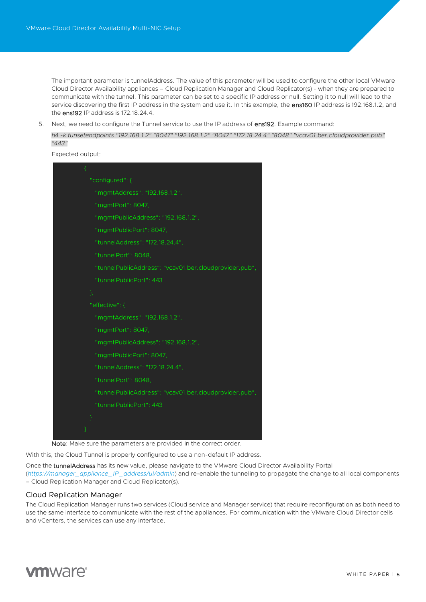The important parameter is tunnelAddress. The value of this parameter will be used to configure the other local VMware Cloud Director Availability appliances – Cloud Replication Manager and Cloud Replicator(s) - when they are prepared to communicate with the tunnel. This parameter can be set to a specific IP address or null. Setting it to null will lead to the service discovering the first IP address in the system and use it. In this example, the ens160 IP address is 192.168.1.2, and the ens192 IP address is 172.18.24.4.

5. Next, we need to configure the Tunnel service to use the IP address of ens192. Example command:

*h4 -k tunsetendpoints "192.168.1.2" "8047" "192.168.1.2" "8047" "172.18.24.4" "8048" "vcav01.ber.cloudprovider.pub" "443"*

Expected output:

| €                                                      |
|--------------------------------------------------------|
| "configured": {                                        |
| "mgmtAddress": "192.168.1.2",                          |
| "mgmtPort": 8047,                                      |
| "mgmtPublicAddress": "192.168.1.2",                    |
| "mgmtPublicPort": 8047,                                |
| "tunnelAddress": "172.18.24.4",                        |
| "tunnelPort": 8048.                                    |
| "tunnelPublicAddress": "vcav01.ber.cloudprovider.pub", |
| "tunnelPublicPort": 443                                |
| },                                                     |
| "effective": {                                         |
| "mgmtAddress": "192.168.1.2",                          |
| "mgmtPort": 8047,                                      |
| "mgmtPublicAddress": "192.168.1.2",                    |
| "mgmtPublicPort": 8047,                                |
| "tunnelAddress": "172.18.24.4",                        |
| "tunnelPort": 8048,                                    |
| "tunnelPublicAddress": "vcav01.ber.cloudprovider.pub", |
| "tunnelPublicPort": 443                                |
| P                                                      |
|                                                        |

Note: Make sure the parameters are provided in the correct order.

With this, the Cloud Tunnel is properly configured to use a non-default IP address.

Once the tunnelAddress has its new value, please navigate to the VMware Cloud Director Availability Portal (*[https://manager\\_appliance\\_IP\\_address/ui/admin](https://manager_appliance_ip_address/ui/admin)*) and re-enable the tunneling to propagate the change to all local components – Cloud Replication Manager and Cloud Replicator(s).

#### Cloud Replication Manager

The Cloud Replication Manager runs two services (Cloud service and Manager service) that require reconfiguration as both need to use the same interface to communicate with the rest of the appliances. For communication with the VMware Cloud Director cells and vCenters, the services can use any interface.

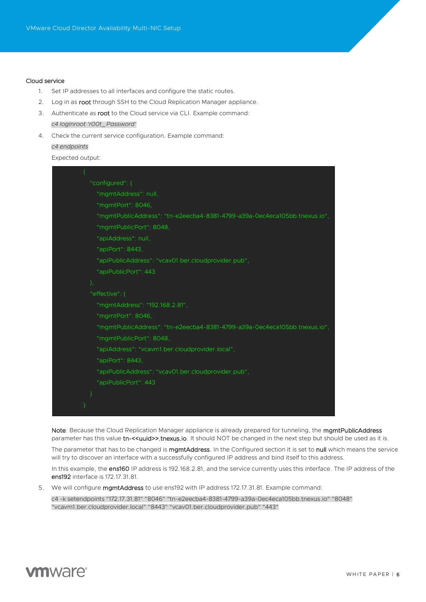#### Cloud service

- 1. Set IP addresses to all interfaces and configure the static routes.
- 2. Log in as root through SSH to the Cloud Replication Manager appliance.
- 3. Authenticate as root to the Cloud service via CLI. Example command: *c4 loginroot 'r00t\_Password'*
- 4. Check the current service configuration. Example command: *c4 endpoints*

Expected output:

| "configured": {                                                           |
|---------------------------------------------------------------------------|
| "mgmtAddress": null,                                                      |
| "mgmtPort": 8046,                                                         |
| "mgmtPublicAddress": "tn-e2eecba4-8381-4799-a39a-Oec4eca105bb.tnexus.io", |
| "mgmtPublicPort": 8048,                                                   |
| "apiAddress": null,                                                       |
| "apiPort": 8443,                                                          |
| "apiPublicAddress": "vcav01.ber.cloudprovider.pub",                       |
| "apiPublicPort": 443                                                      |
| },                                                                        |
| "effective": {                                                            |
| "mgmtAddress": "192.168.2.81",                                            |
| "mgmtPort": 8046,                                                         |
| "mgmtPublicAddress": "tn-e2eecba4-8381-4799-a39a-Oec4eca105bb.tnexus.io", |
| "mgmtPublicPort": 8048,                                                   |
| "apiAddress": "vcavm1.ber.cloudprovider.local",                           |
| "apiPort": 8443.                                                          |
| "apiPublicAddress": "vcav01.ber.cloudprovider.pub",                       |
| "apiPublicPort": 443                                                      |
|                                                                           |
|                                                                           |
|                                                                           |

Note: Because the Cloud Replication Manager appliance is already prepared for tunneling, the mgmtPublicAddress parameter has this value tn-<<uuid>>.tnexus.io. It should NOT be changed in the next step but should be used as it is.

The parameter that has to be changed is mgmtAddress. In the Configured section it is set to null which means the service will try to discover an interface with a successfully configured IP address and bind itself to this address.

In this example, the ens160 IP address is 192.168.2.81, and the service currently uses this interface. The IP address of the ens192 interface is 172.17.31.81.

5. We will configure mgmtAddress to use ens192 with IP address 172.17.31.81. Example command:

c4 -k setendpoints "172.17.31.81" "8046" "tn-e2eecba4-8381-4799-a39a-0ec4eca105bb.tnexus.io" "8048" "vcavm1.ber.cloudprovider.local" "8443" "vcav01.ber.cloudprovider.pub" "443"

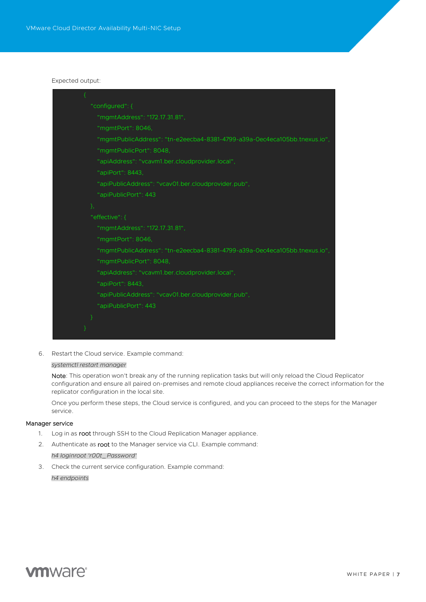#### Expected output:

| "configured": {                                                           |
|---------------------------------------------------------------------------|
| "mgmtAddress": "172.17.31.81",                                            |
| "mgmtPort": 8046,                                                         |
| "mgmtPublicAddress": "tn-e2eecba4-8381-4799-a39a-0ec4eca105bb.tnexus.io", |
| "mgmtPublicPort": 8048,                                                   |
| "apiAddress": "vcavm1.ber.cloudprovider.local",                           |
| "apiPort": 8443.                                                          |
| "apiPublicAddress": "vcav01.ber.cloudprovider.pub",                       |
| "apiPublicPort": 443                                                      |
| },                                                                        |
| "effective": {                                                            |
| "mgmtAddress": "172.17.31.81",                                            |
| "mgmtPort": 8046,                                                         |
| "mgmtPublicAddress": "tn-e2eecba4-8381-4799-a39a-0ec4eca105bb.tnexus.io", |
| "mgmtPublicPort": 8048,                                                   |
| "apiAddress": "vcavm1.ber.cloudprovider.local",                           |
| "apiPort": 8443,                                                          |
| "apiPublicAddress": "vcav01.ber.cloudprovider.pub",                       |
| "apiPublicPort": 443                                                      |
|                                                                           |
|                                                                           |
|                                                                           |

6. Restart the Cloud service. Example command:

#### *systemctl restart manager*

Note: This operation won't break any of the running replication tasks but will only reload the Cloud Replicator configuration and ensure all paired on-premises and remote cloud appliances receive the correct information for the replicator configuration in the local site.

Once you perform these steps, the Cloud service is configured, and you can proceed to the steps for the Manager service.

#### Manager service

- 1. Log in as root through SSH to the Cloud Replication Manager appliance.
- 2. Authenticate as root to the Manager service via CLI. Example command:

*h4 loginroot 'r00t\_Password'*

3. Check the current service configuration. Example command: *h4 endpoints*

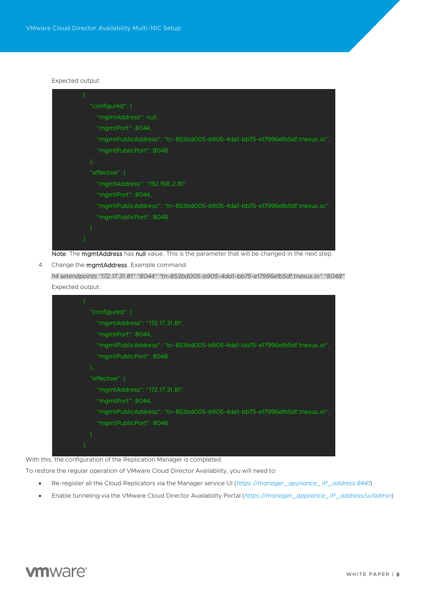#### Expected output:



Note: The mgmtAddress has null value. This is the parameter that will be changed in the next step.

4. Change the **mgmtAddress**. Example command:

*h4 setendpoints "172.17.31.81" "8044" "tn-853bd005-b905-4da1-bb75-e17996efb5df.tnexus.io" "8048"* Expected output:

![](_page_7_Picture_6.jpeg)

With this, the configuration of the Replication Manager is completed.

To restore the regular operation of VMware Cloud Director Availability, you will need to:

- Re-register all the Cloud Replicators via the Manager service UI (*[https://manager\\_appliance\\_IP\\_address:8441](https://manager_appliance_ip_address:8441/)*)
- Enable tunneling via the VMware Cloud Director Availability Portal (*[https://manager\\_appliance\\_IP\\_address/ui/admin](https://manager_appliance_ip_address/ui/admin)*)

![](_page_7_Picture_11.jpeg)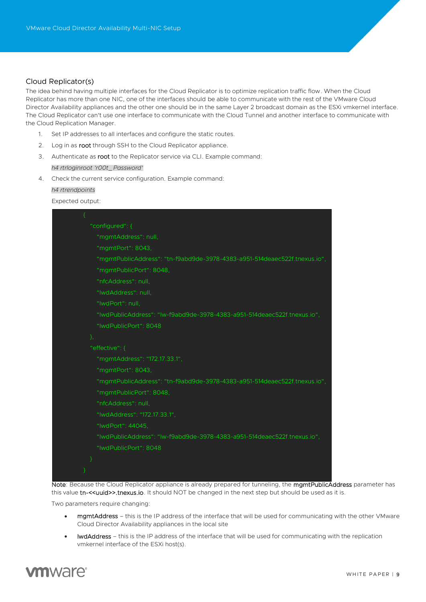# Cloud Replicator(s)

The idea behind having multiple interfaces for the Cloud Replicator is to optimize replication traffic flow. When the Cloud Replicator has more than one NIC, one of the interfaces should be able to communicate with the rest of the VMware Cloud Director Availability appliances and the other one should be in the same Layer 2 broadcast domain as the ESXi vmkernel interface. The Cloud Replicator can't use one interface to communicate with the Cloud Tunnel and another interface to communicate with the Cloud Replication Manager.

- 1. Set IP addresses to all interfaces and configure the static routes.
- 2. Log in as root through SSH to the Cloud Replicator appliance.
- 3. Authenticate as root to the Replicator service via CLI. Example command: *h4 rtrloginroot 'r00t\_Password'*
- 4. Check the current service configuration. Example command:

#### *h4 rtrendpoints*

Expected output:

| "configured": {                                                           |
|---------------------------------------------------------------------------|
| "mgmtAddress": null,                                                      |
| "mgmtPort": 8043,                                                         |
| "mgmtPublicAddress": "tn-f9abd9de-3978-4383-a951-514deaec522f.tnexus.io", |
| "mgmtPublicPort": 8048,                                                   |
| "nfcAddress": null.                                                       |
| "IwdAddress": null,                                                       |
| "IwdPort": null,                                                          |
| "IwdPublicAddress": "Iw-f9abd9de-3978-4383-a951-514deaec522f.tnexus.io",  |
| "IwdPublicPort": 8048                                                     |
| },                                                                        |
| "effective": {                                                            |
| "mgmtAddress": "172.17.33.1",                                             |
| "mgmtPort": 8043,                                                         |
| "mgmtPublicAddress": "tn-f9abd9de-3978-4383-a951-514deaec522f.tnexus.io", |
| "mgmtPublicPort": 8048,                                                   |
| "nfcAddress": null.                                                       |
| "IwdAddress": "172.17.33.1",                                              |
| "IwdPort": 44045.                                                         |
| "IwdPublicAddress": "Iw-f9abd9de-3978-4383-a951-514deaec522f.tnexus.io",  |
| "IwdPublicPort": 8048                                                     |
|                                                                           |
|                                                                           |

Note: Because the Cloud Replicator appliance is already prepared for tunneling, the mgmtPublicAddress parameter has this value tn-<<uuid>>.tnexus.io. It should NOT be changed in the next step but should be used as it is.

Two parameters require changing:

- mgmtAddress this is the IP address of the interface that will be used for communicating with the other VMware Cloud Director Availability appliances in the local site
- lwdAddress this is the IP address of the interface that will be used for communicating with the replication vmkernel interface of the ESXi host(s).

![](_page_8_Picture_14.jpeg)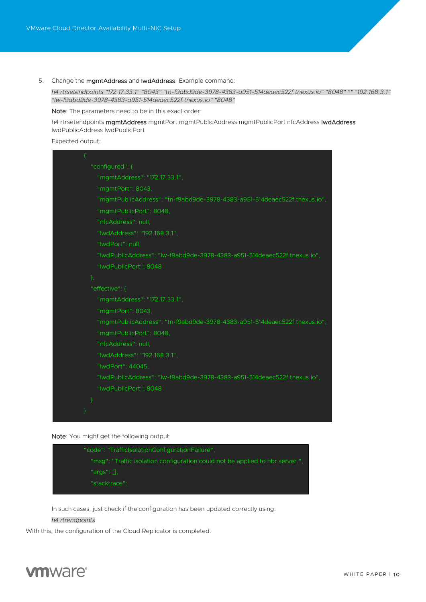5. Change the mgmtAddress and lwdAddress. Example command:

*h4 rtrsetendpoints "172.17.33.1" "8043" "tn-f9abd9de-3978-4383-a951-514deaec522f.tnexus.io" "8048" "" "192.168.3.1" "lw-f9abd9de-3978-4383-a951-514deaec522f.tnexus.io" "8048"*

Note: The parameters need to be in this exact order:

h4 rtrsetendpoints mgmtAddress mgmtPort mgmtPublicAddress mgmtPublicPort nfcAddress lwdAddress lwdPublicAddress lwdPublicPort

Expected output:

![](_page_9_Picture_6.jpeg)

Note: You might get the following output:

![](_page_9_Figure_8.jpeg)

In such cases, just check if the configuration has been updated correctly using:

#### *h4 rtrendpoints*

With this, the configuration of the Cloud Replicator is completed.

![](_page_9_Picture_12.jpeg)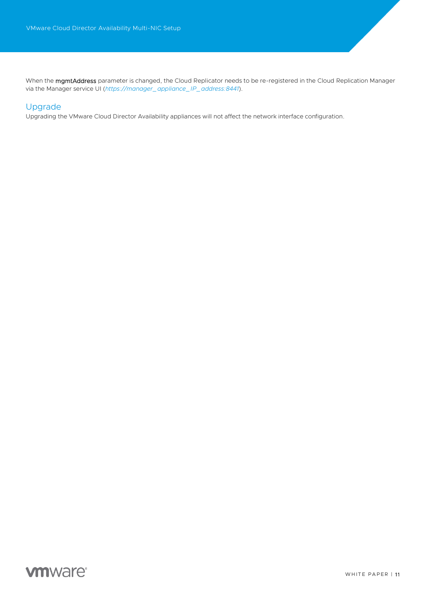When the **mgmtAddress** parameter is changed, the Cloud Replicator needs to be re-registered in the Cloud Replication Manager via the Manager service UI (*[https://manager\\_appliance\\_IP\\_address:8441](https://manager_appliance_ip_address:8441/)*).

# Upgrade

Upgrading the VMware Cloud Director Availability appliances will not affect the network interface configuration.